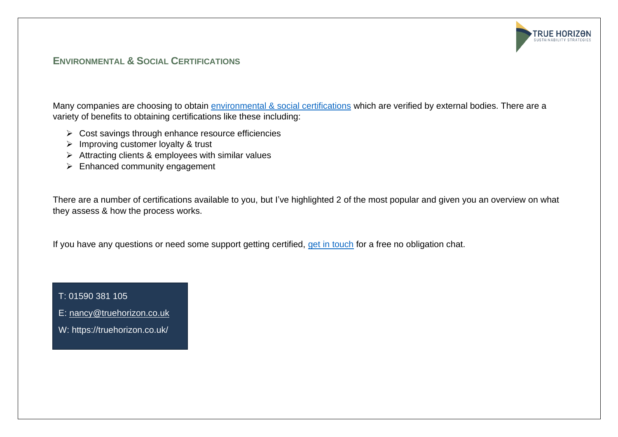## **ENVIRONMENTAL & SOCIAL CERTIFICATIONS**

Many companies are choosing to obtain [environmental & social certifications](https://truehorizon.co.uk/certifications) which are verified by external bodies. There are a variety of benefits to obtaining certifications like these including:

**TRUE HORIZON ISTAINARILITY ST** 

- ➢ Cost savings through enhance resource efficiencies
- ➢ Improving customer loyalty & trust
- ➢ Attracting clients & employees with similar values
- ➢ Enhanced community engagement

There are a number of certifications available to you, but I've highlighted 2 of the most popular and given you an overview on what they assess & how the process works.

If you have any questions or need some support getting certified, [get in touch](mailto:nancy@truehorizon.co.uk?subject=I) for a free no obligation chat.

T: 01590 381 105

E: [nancy@truehorizon.co.uk](mailto:nancy@truehorizon.co.uk)

W: https://truehorizon.co.uk/